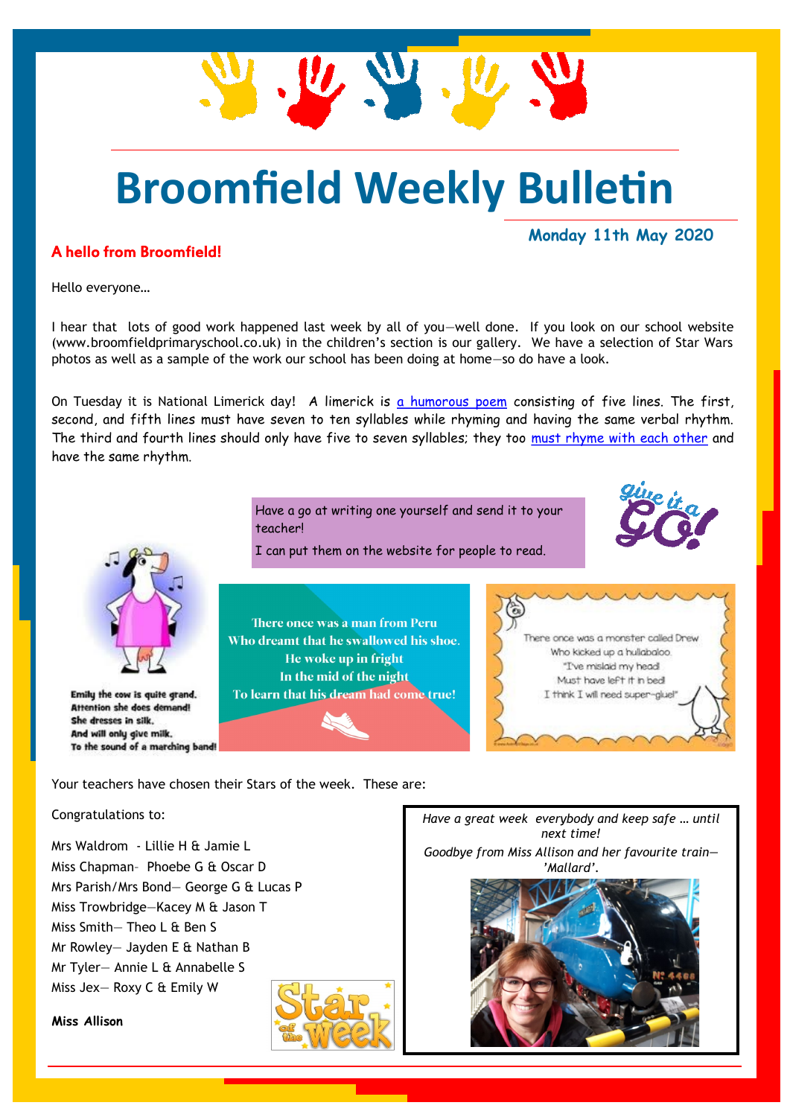## **Broomfield Weekly Bulletin**

 $\mathbf{u}$ 

#### A hello from Broomfield!

**Monday 11th May 2020**

Hello everyone…

I hear that lots of good work happened last week by all of you-well done. If you look on our school website (www.broomfieldprimaryschool.co.uk) in the children's section is our gallery. We have a selection of Star Wars photos as well as a sample of the work our school has been doing at home—so do have a look.

On Tuesday it is National Limerick day! A limerick is [a humorous poem](https://examples.yourdictionary.com/types-of-poetry-examples.html) consisting of five lines. The first, second, and fifth lines must have seven to ten syllables while rhyming and having the same verbal rhythm. The third and fourth lines should only have five to seven syllables; they too [must rhyme with each other](https://examples.yourdictionary.com/examples-of-rhyme.html) and have the same rhythm.



Emily the cow is quite grand. **Attention she does demand!** She dresses in silk. And will only give milk. To the sound of a marching band!

Have a go at writing one yourself and send it to your teacher!

I can put them on the website for people to read.

There once was a man from Peru Who dreamt that he swallowed his shoe. He woke up in fright In the mid of the night To learn that his dream had come true!



Your teachers have chosen their Stars of the week. These are:

#### Congratulations to:

Mrs Waldrom - Lillie H & Jamie L Miss Chapman– Phoebe G & Oscar D Mrs Parish/Mrs Bond— George G & Lucas P Miss Trowbridge—Kacey M & Jason T Miss Smith— Theo L & Ben S Mr Rowley— Jayden E & Nathan B Mr Tyler— Annie L & Annabelle S Miss Jex— Roxy C & Emily W

**Miss Allison**